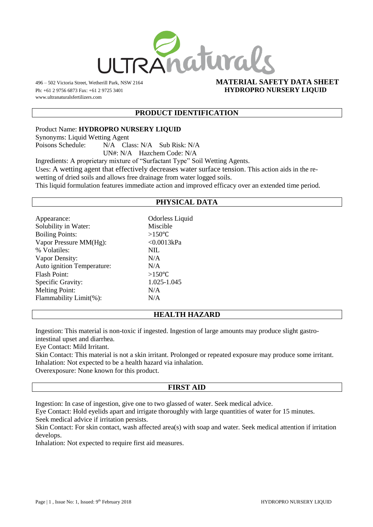

www.ultranaturalsfertilizers.com

## 496 – 502 Victoria Street, Wetherill Park, NSW 2164 **MATERIAL SAFETY DATA SHEET** Ph: +61 2 9756 6873 Fax: +61 2 9725 3401 **HYDROPRO NURSERY LIQUID**

## **PRODUCT IDENTIFICATION**

Product Name: **HYDROPRO NURSERY LIQUID** Synonyms: Liquid Wetting Agent Poisons Schedule: N/A Class: N/A Sub Risk: N/A UN#: N/A Hazchem Code: N/A

Ingredients: A proprietary mixture of "Surfactant Type" Soil Wetting Agents. Uses: A wetting agent that effectively decreases water surface tension. This action aids in the re-

wetting of dried soils and allows free drainage from water logged soils.

This liquid formulation features immediate action and improved efficacy over an extended time period.

## **PHYSICAL DATA**

| Appearance:                | <b>Odorless Liquid</b> |
|----------------------------|------------------------|
| Solubility in Water:       | Miscible               |
| <b>Boiling Points:</b>     | $>150^{\circ}C$        |
| Vapor Pressure MM(Hg):     | < 0.0013kPa            |
| % Volatiles:               | <b>NIL</b>             |
| Vapor Density:             | N/A                    |
| Auto ignition Temperature: | N/A                    |
| Flash Point:               | $>150^{\circ}C$        |
| Specific Gravity:          | 1.025-1.045            |
| <b>Melting Point:</b>      | N/A                    |
| Flammability Limit(%):     | N/A                    |
|                            |                        |

### **HEALTH HAZARD**

Ingestion: This material is non-toxic if ingested. Ingestion of large amounts may produce slight gastrointestinal upset and diarrhea.

Eye Contact: Mild Irritant.

Skin Contact: This material is not a skin irritant. Prolonged or repeated exposure may produce some irritant. Inhalation: Not expected to be a health hazard via inhalation.

Overexposure: None known for this product.

# **FIRST AID**

Ingestion: In case of ingestion, give one to two glassed of water. Seek medical advice.

Eye Contact: Hold eyelids apart and irrigate thoroughly with large quantities of water for 15 minutes.

Seek medical advice if irritation persists.

Skin Contact: For skin contact, wash affected area(s) with soap and water. Seek medical attention if irritation develops.

Inhalation: Not expected to require first aid measures.